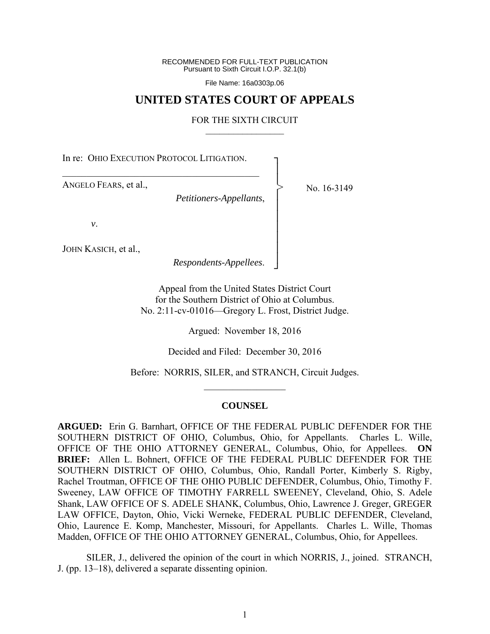RECOMMENDED FOR FULL-TEXT PUBLICATION Pursuant to Sixth Circuit I.O.P. 32.1(b)

File Name: 16a0303p.06

## **UNITED STATES COURT OF APPEALS**

#### FOR THE SIXTH CIRCUIT  $\mathcal{L}_\text{max}$

┐ │ │ │ │ │ │ │ │ │ ┘

>

In re: OHIO EXECUTION PROTOCOL LITIGATION.

 $\mathcal{L}_\text{max}$ 

ANGELO FEARS, et al.,

*Petitioners-Appellants*,

No. 16-3149

*v*.

JOHN KASICH, et al.,

*Respondents-Appellees*.

Appeal from the United States District Court for the Southern District of Ohio at Columbus. No. 2:11-cv-01016—Gregory L. Frost, District Judge.

Argued: November 18, 2016

Decided and Filed: December 30, 2016

Before: NORRIS, SILER, and STRANCH, Circuit Judges.  $\frac{1}{2}$ 

### **COUNSEL**

**ARGUED:** Erin G. Barnhart, OFFICE OF THE FEDERAL PUBLIC DEFENDER FOR THE SOUTHERN DISTRICT OF OHIO, Columbus, Ohio, for Appellants. Charles L. Wille, OFFICE OF THE OHIO ATTORNEY GENERAL, Columbus, Ohio, for Appellees. **ON BRIEF:** Allen L. Bohnert, OFFICE OF THE FEDERAL PUBLIC DEFENDER FOR THE SOUTHERN DISTRICT OF OHIO, Columbus, Ohio, Randall Porter, Kimberly S. Rigby, Rachel Troutman, OFFICE OF THE OHIO PUBLIC DEFENDER, Columbus, Ohio, Timothy F. Sweeney, LAW OFFICE OF TIMOTHY FARRELL SWEENEY, Cleveland, Ohio, S. Adele Shank, LAW OFFICE OF S. ADELE SHANK, Columbus, Ohio, Lawrence J. Greger, GREGER LAW OFFICE, Dayton, Ohio, Vicki Werneke, FEDERAL PUBLIC DEFENDER, Cleveland, Ohio, Laurence E. Komp, Manchester, Missouri, for Appellants. Charles L. Wille, Thomas Madden, OFFICE OF THE OHIO ATTORNEY GENERAL, Columbus, Ohio, for Appellees.

 SILER, J., delivered the opinion of the court in which NORRIS, J., joined. STRANCH, J. (pp. 13–18), delivered a separate dissenting opinion.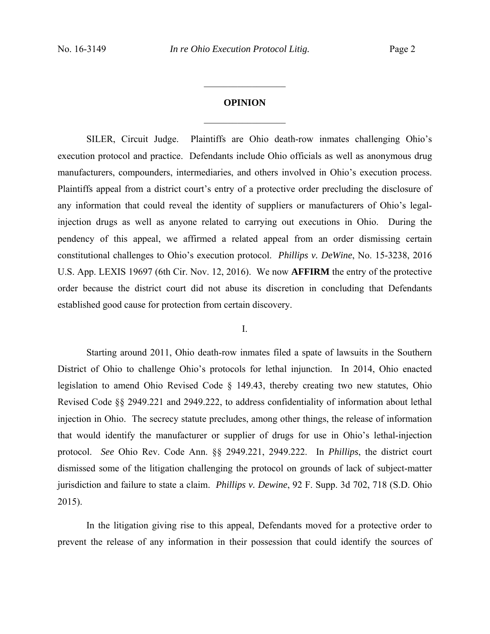# **OPINION**   $\frac{1}{2}$  ,  $\frac{1}{2}$  ,  $\frac{1}{2}$  ,  $\frac{1}{2}$  ,  $\frac{1}{2}$  ,  $\frac{1}{2}$  ,  $\frac{1}{2}$  ,  $\frac{1}{2}$  ,  $\frac{1}{2}$

 $\frac{1}{2}$  ,  $\frac{1}{2}$  ,  $\frac{1}{2}$  ,  $\frac{1}{2}$  ,  $\frac{1}{2}$  ,  $\frac{1}{2}$  ,  $\frac{1}{2}$  ,  $\frac{1}{2}$  ,  $\frac{1}{2}$ 

SILER, Circuit Judge. Plaintiffs are Ohio death-row inmates challenging Ohio's execution protocol and practice. Defendants include Ohio officials as well as anonymous drug manufacturers, compounders, intermediaries, and others involved in Ohio's execution process. Plaintiffs appeal from a district court's entry of a protective order precluding the disclosure of any information that could reveal the identity of suppliers or manufacturers of Ohio's legalinjection drugs as well as anyone related to carrying out executions in Ohio. During the pendency of this appeal, we affirmed a related appeal from an order dismissing certain constitutional challenges to Ohio's execution protocol. *Phillips v. DeWine*, No. 15-3238, 2016 U.S. App. LEXIS 19697 (6th Cir. Nov. 12, 2016). We now **AFFIRM** the entry of the protective order because the district court did not abuse its discretion in concluding that Defendants established good cause for protection from certain discovery.

I.

 Starting around 2011, Ohio death-row inmates filed a spate of lawsuits in the Southern District of Ohio to challenge Ohio's protocols for lethal injunction. In 2014, Ohio enacted legislation to amend Ohio Revised Code § 149.43, thereby creating two new statutes, Ohio Revised Code §§ 2949.221 and 2949.222, to address confidentiality of information about lethal injection in Ohio. The secrecy statute precludes, among other things, the release of information that would identify the manufacturer or supplier of drugs for use in Ohio's lethal-injection protocol. *See* Ohio Rev. Code Ann. §§ 2949.221, 2949.222. In *Phillips*, the district court dismissed some of the litigation challenging the protocol on grounds of lack of subject-matter jurisdiction and failure to state a claim. *Phillips v. Dewine*, 92 F. Supp. 3d 702, 718 (S.D. Ohio 2015).

In the litigation giving rise to this appeal, Defendants moved for a protective order to prevent the release of any information in their possession that could identify the sources of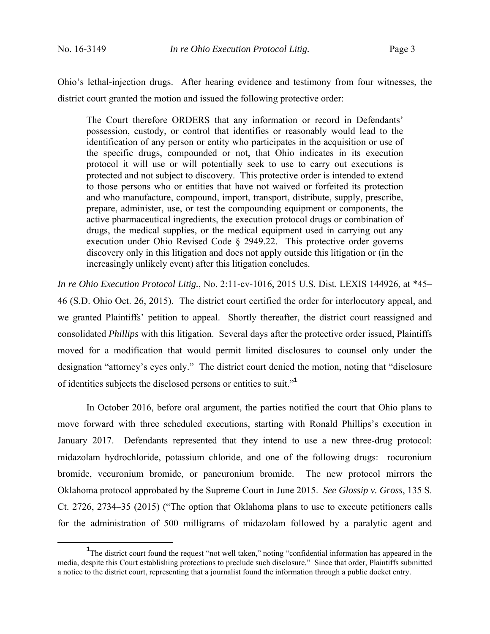Ohio's lethal-injection drugs. After hearing evidence and testimony from four witnesses, the district court granted the motion and issued the following protective order:

The Court therefore ORDERS that any information or record in Defendants' possession, custody, or control that identifies or reasonably would lead to the identification of any person or entity who participates in the acquisition or use of the specific drugs, compounded or not, that Ohio indicates in its execution protocol it will use or will potentially seek to use to carry out executions is protected and not subject to discovery. This protective order is intended to extend to those persons who or entities that have not waived or forfeited its protection and who manufacture, compound, import, transport, distribute, supply, prescribe, prepare, administer, use, or test the compounding equipment or components, the active pharmaceutical ingredients, the execution protocol drugs or combination of drugs, the medical supplies, or the medical equipment used in carrying out any execution under Ohio Revised Code § 2949.22. This protective order governs discovery only in this litigation and does not apply outside this litigation or (in the increasingly unlikely event) after this litigation concludes.

*In re Ohio Execution Protocol Litig.*, No. 2:11-cv-1016, 2015 U.S. Dist. LEXIS 144926, at \*45– 46 (S.D. Ohio Oct. 26, 2015). The district court certified the order for interlocutory appeal, and we granted Plaintiffs' petition to appeal. Shortly thereafter, the district court reassigned and consolidated *Phillips* with this litigation. Several days after the protective order issued, Plaintiffs moved for a modification that would permit limited disclosures to counsel only under the designation "attorney's eyes only." The district court denied the motion, noting that "disclosure of identities subjects the disclosed persons or entities to suit."**<sup>1</sup>**

In October 2016, before oral argument, the parties notified the court that Ohio plans to move forward with three scheduled executions, starting with Ronald Phillips's execution in January 2017. Defendants represented that they intend to use a new three-drug protocol: midazolam hydrochloride, potassium chloride, and one of the following drugs: rocuronium bromide, vecuronium bromide, or pancuronium bromide. The new protocol mirrors the Oklahoma protocol approbated by the Supreme Court in June 2015. *See Glossip v. Gross*, 135 S. Ct. 2726, 2734–35 (2015) ("The option that Oklahoma plans to use to execute petitioners calls for the administration of 500 milligrams of midazolam followed by a paralytic agent and

<sup>&</sup>lt;u>1</u> <sup>1</sup>The district court found the request "not well taken," noting "confidential information has appeared in the media, despite this Court establishing protections to preclude such disclosure." Since that order, Plaintiffs submitted a notice to the district court, representing that a journalist found the information through a public docket entry.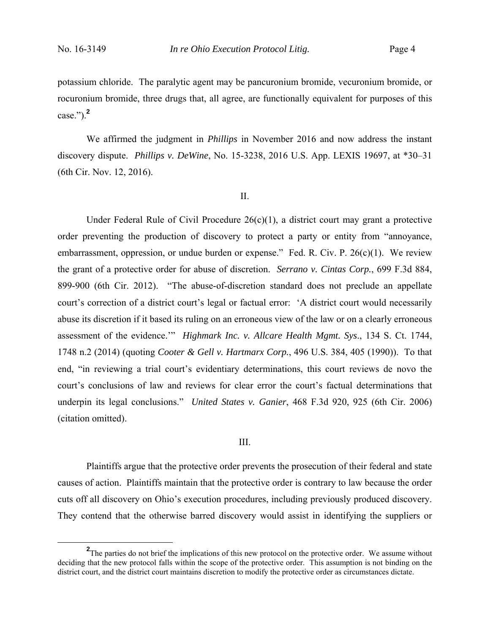potassium chloride. The paralytic agent may be pancuronium bromide, vecuronium bromide, or rocuronium bromide, three drugs that, all agree, are functionally equivalent for purposes of this case.").**<sup>2</sup>**

We affirmed the judgment in *Phillips* in November 2016 and now address the instant discovery dispute. *Phillips v. DeWine*, No. 15-3238, 2016 U.S. App. LEXIS 19697, at \*30–31 (6th Cir. Nov. 12, 2016).

#### II.

Under Federal Rule of Civil Procedure  $26(c)(1)$ , a district court may grant a protective order preventing the production of discovery to protect a party or entity from "annoyance, embarrassment, oppression, or undue burden or expense." Fed. R. Civ. P. 26(c)(1). We review the grant of a protective order for abuse of discretion. *Serrano v. Cintas Corp.*, 699 F.3d 884, 899-900 (6th Cir. 2012). "The abuse-of-discretion standard does not preclude an appellate court's correction of a district court's legal or factual error: 'A district court would necessarily abuse its discretion if it based its ruling on an erroneous view of the law or on a clearly erroneous assessment of the evidence.'" *Highmark Inc. v. Allcare Health Mgmt. Sys*., 134 S. Ct. 1744, 1748 n.2 (2014) (quoting *Cooter & Gell v. Hartmarx Corp.*, 496 U.S. 384, 405 (1990)). To that end, "in reviewing a trial court's evidentiary determinations, this court reviews de novo the court's conclusions of law and reviews for clear error the court's factual determinations that underpin its legal conclusions." *United States v. Ganier*, 468 F.3d 920, 925 (6th Cir. 2006) (citation omitted).

#### III.

 Plaintiffs argue that the protective order prevents the prosecution of their federal and state causes of action. Plaintiffs maintain that the protective order is contrary to law because the order cuts off all discovery on Ohio's execution procedures, including previously produced discovery. They contend that the otherwise barred discovery would assist in identifying the suppliers or

**<sup>2</sup>** <sup>2</sup>The parties do not brief the implications of this new protocol on the protective order. We assume without deciding that the new protocol falls within the scope of the protective order. This assumption is not binding on the district court, and the district court maintains discretion to modify the protective order as circumstances dictate.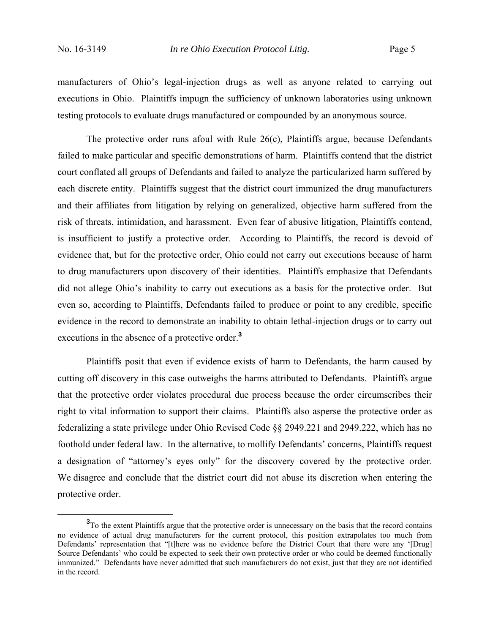manufacturers of Ohio's legal-injection drugs as well as anyone related to carrying out executions in Ohio. Plaintiffs impugn the sufficiency of unknown laboratories using unknown testing protocols to evaluate drugs manufactured or compounded by an anonymous source.

The protective order runs afoul with Rule  $26(c)$ , Plaintiffs argue, because Defendants failed to make particular and specific demonstrations of harm. Plaintiffs contend that the district court conflated all groups of Defendants and failed to analyze the particularized harm suffered by each discrete entity. Plaintiffs suggest that the district court immunized the drug manufacturers and their affiliates from litigation by relying on generalized, objective harm suffered from the risk of threats, intimidation, and harassment. Even fear of abusive litigation, Plaintiffs contend, is insufficient to justify a protective order. According to Plaintiffs, the record is devoid of evidence that, but for the protective order, Ohio could not carry out executions because of harm to drug manufacturers upon discovery of their identities. Plaintiffs emphasize that Defendants did not allege Ohio's inability to carry out executions as a basis for the protective order. But even so, according to Plaintiffs, Defendants failed to produce or point to any credible, specific evidence in the record to demonstrate an inability to obtain lethal-injection drugs or to carry out executions in the absence of a protective order.**<sup>3</sup>**

Plaintiffs posit that even if evidence exists of harm to Defendants, the harm caused by cutting off discovery in this case outweighs the harms attributed to Defendants. Plaintiffs argue that the protective order violates procedural due process because the order circumscribes their right to vital information to support their claims. Plaintiffs also asperse the protective order as federalizing a state privilege under Ohio Revised Code §§ 2949.221 and 2949.222, which has no foothold under federal law. In the alternative, to mollify Defendants' concerns, Plaintiffs request a designation of "attorney's eyes only" for the discovery covered by the protective order. We disagree and conclude that the district court did not abuse its discretion when entering the protective order.

**<sup>3</sup>** <sup>3</sup>To the extent Plaintiffs argue that the protective order is unnecessary on the basis that the record contains no evidence of actual drug manufacturers for the current protocol, this position extrapolates too much from Defendants' representation that "[t]here was no evidence before the District Court that there were any '[Drug] Source Defendants' who could be expected to seek their own protective order or who could be deemed functionally immunized." Defendants have never admitted that such manufacturers do not exist, just that they are not identified in the record.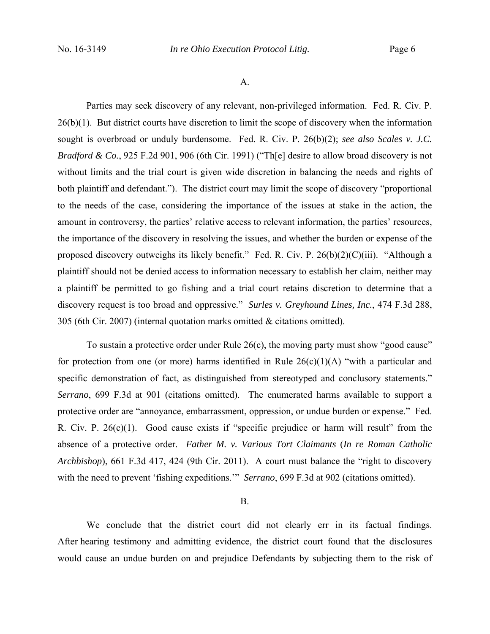A.

Parties may seek discovery of any relevant, non-privileged information. Fed. R. Civ. P. 26(b)(1). But district courts have discretion to limit the scope of discovery when the information sought is overbroad or unduly burdensome. Fed. R. Civ. P. 26(b)(2); *see also Scales v. J.C. Bradford & Co.*, 925 F.2d 901, 906 (6th Cir. 1991) ("Th[e] desire to allow broad discovery is not without limits and the trial court is given wide discretion in balancing the needs and rights of both plaintiff and defendant."). The district court may limit the scope of discovery "proportional to the needs of the case, considering the importance of the issues at stake in the action, the amount in controversy, the parties' relative access to relevant information, the parties' resources, the importance of the discovery in resolving the issues, and whether the burden or expense of the proposed discovery outweighs its likely benefit." Fed. R. Civ. P. 26(b)(2)(C)(iii). "Although a plaintiff should not be denied access to information necessary to establish her claim, neither may a plaintiff be permitted to go fishing and a trial court retains discretion to determine that a discovery request is too broad and oppressive." *Surles v. Greyhound Lines, Inc.*, 474 F.3d 288, 305 (6th Cir. 2007) (internal quotation marks omitted & citations omitted).

To sustain a protective order under Rule 26(c), the moving party must show "good cause" for protection from one (or more) harms identified in Rule  $26(c)(1)(A)$  "with a particular and specific demonstration of fact, as distinguished from stereotyped and conclusory statements." *Serrano*, 699 F.3d at 901 (citations omitted). The enumerated harms available to support a protective order are "annoyance, embarrassment, oppression, or undue burden or expense." Fed. R. Civ. P.  $26(c)(1)$ . Good cause exists if "specific prejudice or harm will result" from the absence of a protective order. *Father M. v. Various Tort Claimants* (*In re Roman Catholic Archbishop*), 661 F.3d 417, 424 (9th Cir. 2011). A court must balance the "right to discovery with the need to prevent 'fishing expeditions.'" *Serrano*, 699 F.3d at 902 (citations omitted).

#### B.

We conclude that the district court did not clearly err in its factual findings. After hearing testimony and admitting evidence, the district court found that the disclosures would cause an undue burden on and prejudice Defendants by subjecting them to the risk of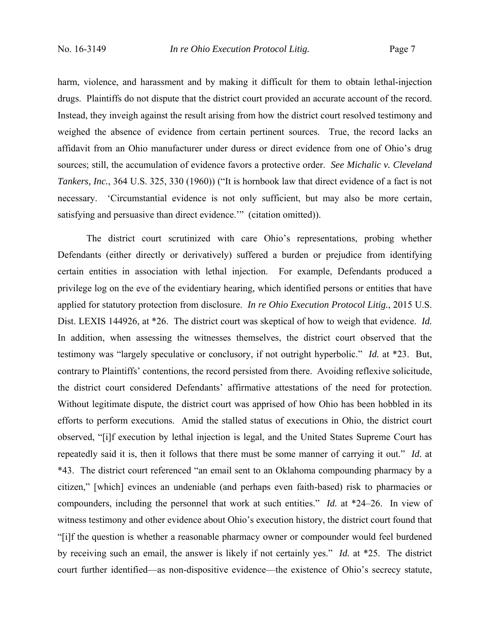harm, violence, and harassment and by making it difficult for them to obtain lethal-injection drugs. Plaintiffs do not dispute that the district court provided an accurate account of the record. Instead, they inveigh against the result arising from how the district court resolved testimony and weighed the absence of evidence from certain pertinent sources. True, the record lacks an affidavit from an Ohio manufacturer under duress or direct evidence from one of Ohio's drug sources; still, the accumulation of evidence favors a protective order. *See Michalic v. Cleveland Tankers, Inc.*, 364 U.S. 325, 330 (1960)) ("It is hornbook law that direct evidence of a fact is not necessary. 'Circumstantial evidence is not only sufficient, but may also be more certain, satisfying and persuasive than direct evidence.'" (citation omitted)).

 The district court scrutinized with care Ohio's representations, probing whether Defendants (either directly or derivatively) suffered a burden or prejudice from identifying certain entities in association with lethal injection. For example, Defendants produced a privilege log on the eve of the evidentiary hearing, which identified persons or entities that have applied for statutory protection from disclosure. *In re Ohio Execution Protocol Litig.*, 2015 U.S. Dist. LEXIS 144926, at \*26. The district court was skeptical of how to weigh that evidence. *Id.* In addition, when assessing the witnesses themselves, the district court observed that the testimony was "largely speculative or conclusory, if not outright hyperbolic." *Id.* at \*23. But, contrary to Plaintiffs' contentions, the record persisted from there. Avoiding reflexive solicitude, the district court considered Defendants' affirmative attestations of the need for protection. Without legitimate dispute, the district court was apprised of how Ohio has been hobbled in its efforts to perform executions. Amid the stalled status of executions in Ohio, the district court observed, "[i]f execution by lethal injection is legal, and the United States Supreme Court has repeatedly said it is, then it follows that there must be some manner of carrying it out." *Id.* at \*43. The district court referenced "an email sent to an Oklahoma compounding pharmacy by a citizen," [which] evinces an undeniable (and perhaps even faith-based) risk to pharmacies or compounders, including the personnel that work at such entities." *Id.* at \*24–26. In view of witness testimony and other evidence about Ohio's execution history, the district court found that "[i]f the question is whether a reasonable pharmacy owner or compounder would feel burdened by receiving such an email, the answer is likely if not certainly yes." *Id.* at \*25. The district court further identified—as non-dispositive evidence—the existence of Ohio's secrecy statute,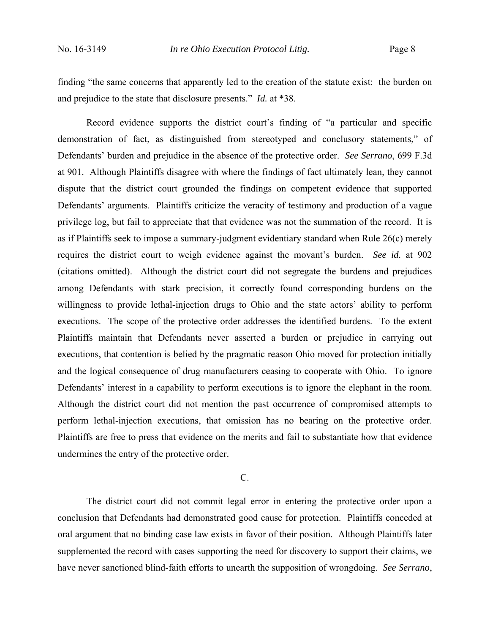finding "the same concerns that apparently led to the creation of the statute exist: the burden on and prejudice to the state that disclosure presents." *Id.* at \*38.

Record evidence supports the district court's finding of "a particular and specific demonstration of fact, as distinguished from stereotyped and conclusory statements," of Defendants' burden and prejudice in the absence of the protective order. *See Serrano*, 699 F.3d at 901. Although Plaintiffs disagree with where the findings of fact ultimately lean, they cannot dispute that the district court grounded the findings on competent evidence that supported Defendants' arguments. Plaintiffs criticize the veracity of testimony and production of a vague privilege log, but fail to appreciate that that evidence was not the summation of the record. It is as if Plaintiffs seek to impose a summary-judgment evidentiary standard when Rule 26(c) merely requires the district court to weigh evidence against the movant's burden. *See id.* at 902 (citations omitted). Although the district court did not segregate the burdens and prejudices among Defendants with stark precision, it correctly found corresponding burdens on the willingness to provide lethal-injection drugs to Ohio and the state actors' ability to perform executions. The scope of the protective order addresses the identified burdens. To the extent Plaintiffs maintain that Defendants never asserted a burden or prejudice in carrying out executions, that contention is belied by the pragmatic reason Ohio moved for protection initially and the logical consequence of drug manufacturers ceasing to cooperate with Ohio. To ignore Defendants' interest in a capability to perform executions is to ignore the elephant in the room. Although the district court did not mention the past occurrence of compromised attempts to perform lethal-injection executions, that omission has no bearing on the protective order. Plaintiffs are free to press that evidence on the merits and fail to substantiate how that evidence undermines the entry of the protective order.

### C.

The district court did not commit legal error in entering the protective order upon a conclusion that Defendants had demonstrated good cause for protection. Plaintiffs conceded at oral argument that no binding case law exists in favor of their position. Although Plaintiffs later supplemented the record with cases supporting the need for discovery to support their claims, we have never sanctioned blind-faith efforts to unearth the supposition of wrongdoing. *See Serrano*,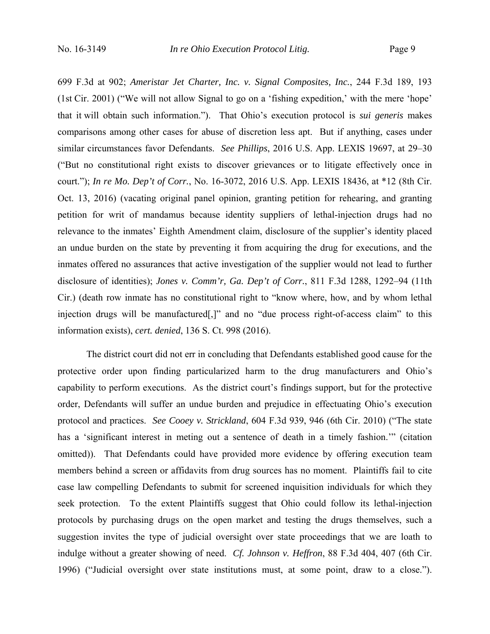699 F.3d at 902; *Ameristar Jet Charter, Inc. v. Signal Composites, Inc.*, 244 F.3d 189, 193 (1st Cir. 2001) ("We will not allow Signal to go on a 'fishing expedition,' with the mere 'hope' that it will obtain such information."). That Ohio's execution protocol is *sui generis* makes comparisons among other cases for abuse of discretion less apt. But if anything, cases under similar circumstances favor Defendants. *See Phillips*, 2016 U.S. App. LEXIS 19697, at 29–30 ("But no constitutional right exists to discover grievances or to litigate effectively once in court."); *In re Mo. Dep't of Corr.*, No. 16-3072, 2016 U.S. App. LEXIS 18436, at \*12 (8th Cir. Oct. 13, 2016) (vacating original panel opinion, granting petition for rehearing, and granting petition for writ of mandamus because identity suppliers of lethal-injection drugs had no relevance to the inmates' Eighth Amendment claim, disclosure of the supplier's identity placed an undue burden on the state by preventing it from acquiring the drug for executions, and the inmates offered no assurances that active investigation of the supplier would not lead to further disclosure of identities); *Jones v. Comm'r, Ga. Dep't of Corr.*, 811 F.3d 1288, 1292–94 (11th Cir.) (death row inmate has no constitutional right to "know where, how, and by whom lethal injection drugs will be manufactured[.]" and no "due process right-of-access claim" to this information exists), *cert. denied*, 136 S. Ct. 998 (2016).

 The district court did not err in concluding that Defendants established good cause for the protective order upon finding particularized harm to the drug manufacturers and Ohio's capability to perform executions. As the district court's findings support, but for the protective order, Defendants will suffer an undue burden and prejudice in effectuating Ohio's execution protocol and practices. *See Cooey v. Strickland*, 604 F.3d 939, 946 (6th Cir. 2010) ("The state has a 'significant interest in meting out a sentence of death in a timely fashion.'" (citation omitted)). That Defendants could have provided more evidence by offering execution team members behind a screen or affidavits from drug sources has no moment. Plaintiffs fail to cite case law compelling Defendants to submit for screened inquisition individuals for which they seek protection. To the extent Plaintiffs suggest that Ohio could follow its lethal-injection protocols by purchasing drugs on the open market and testing the drugs themselves, such a suggestion invites the type of judicial oversight over state proceedings that we are loath to indulge without a greater showing of need. *Cf. Johnson v. Heffron*, 88 F.3d 404, 407 (6th Cir. 1996) ("Judicial oversight over state institutions must, at some point, draw to a close.").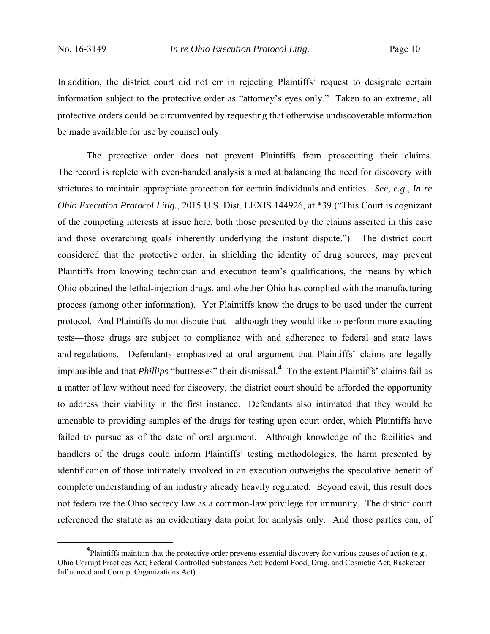In addition, the district court did not err in rejecting Plaintiffs' request to designate certain information subject to the protective order as "attorney's eyes only." Taken to an extreme, all protective orders could be circumvented by requesting that otherwise undiscoverable information be made available for use by counsel only.

The protective order does not prevent Plaintiffs from prosecuting their claims. The record is replete with even-handed analysis aimed at balancing the need for discovery with strictures to maintain appropriate protection for certain individuals and entities. *See, e.g.*, *In re Ohio Execution Protocol Litig.*, 2015 U.S. Dist. LEXIS 144926, at \*39 ("This Court is cognizant of the competing interests at issue here, both those presented by the claims asserted in this case and those overarching goals inherently underlying the instant dispute."). The district court considered that the protective order, in shielding the identity of drug sources, may prevent Plaintiffs from knowing technician and execution team's qualifications, the means by which Ohio obtained the lethal-injection drugs, and whether Ohio has complied with the manufacturing process (among other information). Yet Plaintiffs know the drugs to be used under the current protocol. And Plaintiffs do not dispute that—although they would like to perform more exacting tests—those drugs are subject to compliance with and adherence to federal and state laws and regulations. Defendants emphasized at oral argument that Plaintiffs' claims are legally implausible and that *Phillips* "buttresses" their dismissal.**<sup>4</sup>** To the extent Plaintiffs' claims fail as a matter of law without need for discovery, the district court should be afforded the opportunity to address their viability in the first instance. Defendants also intimated that they would be amenable to providing samples of the drugs for testing upon court order, which Plaintiffs have failed to pursue as of the date of oral argument. Although knowledge of the facilities and handlers of the drugs could inform Plaintiffs' testing methodologies, the harm presented by identification of those intimately involved in an execution outweighs the speculative benefit of complete understanding of an industry already heavily regulated. Beyond cavil, this result does not federalize the Ohio secrecy law as a common-law privilege for immunity. The district court referenced the statute as an evidentiary data point for analysis only. And those parties can, of

**<sup>4</sup>** Plaintiffs maintain that the protective order prevents essential discovery for various causes of action (e.g., Ohio Corrupt Practices Act; Federal Controlled Substances Act; Federal Food, Drug, and Cosmetic Act; Racketeer Influenced and Corrupt Organizations Act).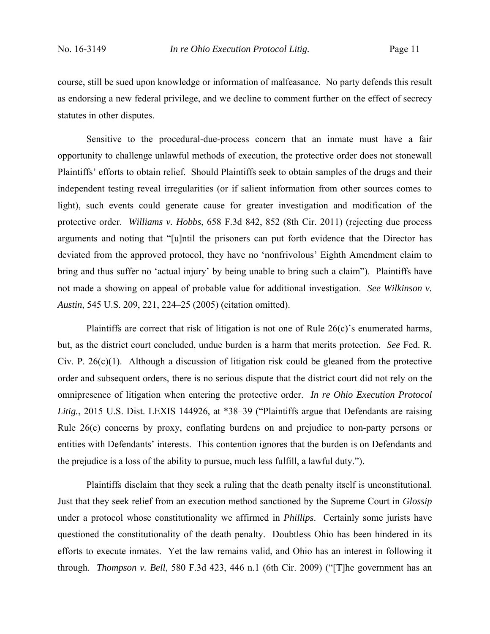course, still be sued upon knowledge or information of malfeasance. No party defends this result as endorsing a new federal privilege, and we decline to comment further on the effect of secrecy statutes in other disputes.

Sensitive to the procedural-due-process concern that an inmate must have a fair opportunity to challenge unlawful methods of execution, the protective order does not stonewall Plaintiffs' efforts to obtain relief. Should Plaintiffs seek to obtain samples of the drugs and their independent testing reveal irregularities (or if salient information from other sources comes to light), such events could generate cause for greater investigation and modification of the protective order. *Williams v. Hobbs*, 658 F.3d 842, 852 (8th Cir. 2011) (rejecting due process arguments and noting that "[u]ntil the prisoners can put forth evidence that the Director has deviated from the approved protocol, they have no 'nonfrivolous' Eighth Amendment claim to bring and thus suffer no 'actual injury' by being unable to bring such a claim"). Plaintiffs have not made a showing on appeal of probable value for additional investigation. *See Wilkinson v. Austin*, 545 U.S. 209, 221, 224–25 (2005) (citation omitted).

Plaintiffs are correct that risk of litigation is not one of Rule 26(c)'s enumerated harms, but, as the district court concluded, undue burden is a harm that merits protection. *See* Fed. R. Civ. P.  $26(c)(1)$ . Although a discussion of litigation risk could be gleaned from the protective order and subsequent orders, there is no serious dispute that the district court did not rely on the omnipresence of litigation when entering the protective order. *In re Ohio Execution Protocol Litig.*, 2015 U.S. Dist. LEXIS 144926, at \*38–39 ("Plaintiffs argue that Defendants are raising Rule 26(c) concerns by proxy, conflating burdens on and prejudice to non-party persons or entities with Defendants' interests. This contention ignores that the burden is on Defendants and the prejudice is a loss of the ability to pursue, much less fulfill, a lawful duty.").

 Plaintiffs disclaim that they seek a ruling that the death penalty itself is unconstitutional. Just that they seek relief from an execution method sanctioned by the Supreme Court in *Glossip* under a protocol whose constitutionality we affirmed in *Phillips*. Certainly some jurists have questioned the constitutionality of the death penalty. Doubtless Ohio has been hindered in its efforts to execute inmates. Yet the law remains valid, and Ohio has an interest in following it through. *Thompson v. Bell*, 580 F.3d 423, 446 n.1 (6th Cir. 2009) ("[T]he government has an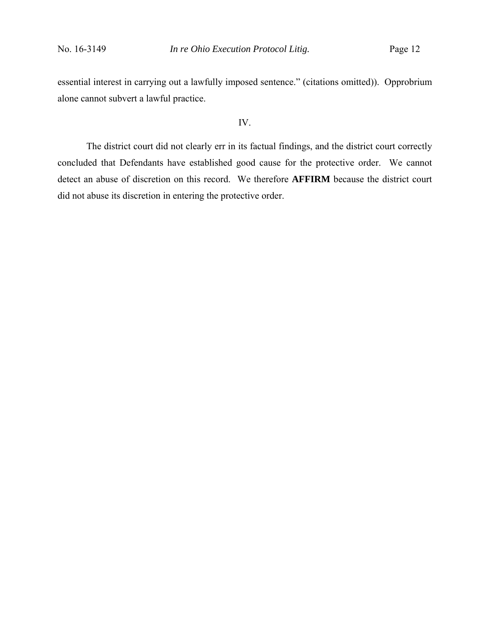essential interest in carrying out a lawfully imposed sentence." (citations omitted)). Opprobrium alone cannot subvert a lawful practice.

### IV.

The district court did not clearly err in its factual findings, and the district court correctly concluded that Defendants have established good cause for the protective order. We cannot detect an abuse of discretion on this record. We therefore **AFFIRM** because the district court did not abuse its discretion in entering the protective order.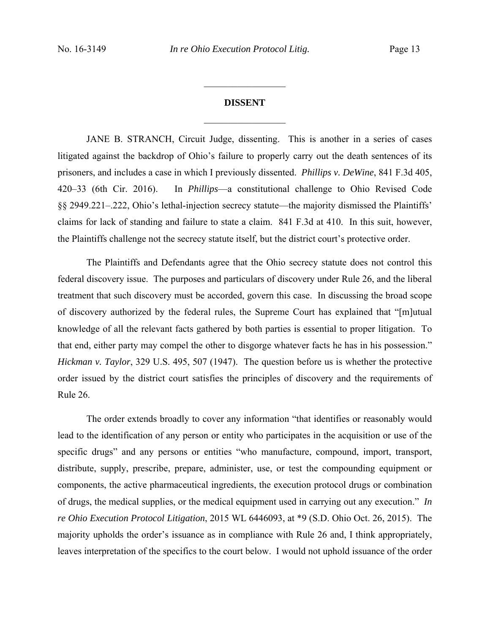# **DISSENT**   $\frac{1}{2}$  ,  $\frac{1}{2}$  ,  $\frac{1}{2}$  ,  $\frac{1}{2}$  ,  $\frac{1}{2}$  ,  $\frac{1}{2}$  ,  $\frac{1}{2}$  ,  $\frac{1}{2}$  ,  $\frac{1}{2}$

 $\frac{1}{2}$  ,  $\frac{1}{2}$  ,  $\frac{1}{2}$  ,  $\frac{1}{2}$  ,  $\frac{1}{2}$  ,  $\frac{1}{2}$  ,  $\frac{1}{2}$  ,  $\frac{1}{2}$  ,  $\frac{1}{2}$ 

JANE B. STRANCH, Circuit Judge, dissenting.This is another in a series of cases litigated against the backdrop of Ohio's failure to properly carry out the death sentences of its prisoners, and includes a case in which I previously dissented. *Phillips v. DeWine*, 841 F.3d 405, 420–33 (6th Cir. 2016). In *Phillips*—a constitutional challenge to Ohio Revised Code §§ 2949.221–.222, Ohio's lethal-injection secrecy statute—the majority dismissed the Plaintiffs' claims for lack of standing and failure to state a claim. 841 F.3d at 410. In this suit, however, the Plaintiffs challenge not the secrecy statute itself, but the district court's protective order.

The Plaintiffs and Defendants agree that the Ohio secrecy statute does not control this federal discovery issue. The purposes and particulars of discovery under Rule 26, and the liberal treatment that such discovery must be accorded, govern this case. In discussing the broad scope of discovery authorized by the federal rules, the Supreme Court has explained that "[m]utual knowledge of all the relevant facts gathered by both parties is essential to proper litigation. To that end, either party may compel the other to disgorge whatever facts he has in his possession." *Hickman v. Taylor*, 329 U.S. 495, 507 (1947). The question before us is whether the protective order issued by the district court satisfies the principles of discovery and the requirements of Rule 26.

The order extends broadly to cover any information "that identifies or reasonably would lead to the identification of any person or entity who participates in the acquisition or use of the specific drugs" and any persons or entities "who manufacture, compound, import, transport, distribute, supply, prescribe, prepare, administer, use, or test the compounding equipment or components, the active pharmaceutical ingredients, the execution protocol drugs or combination of drugs, the medical supplies, or the medical equipment used in carrying out any execution." *In re Ohio Execution Protocol Litigation*, 2015 WL 6446093, at \*9 (S.D. Ohio Oct. 26, 2015). The majority upholds the order's issuance as in compliance with Rule 26 and, I think appropriately, leaves interpretation of the specifics to the court below. I would not uphold issuance of the order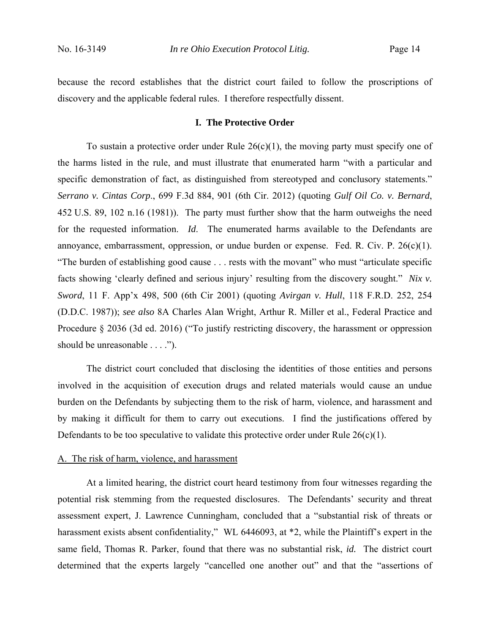because the record establishes that the district court failed to follow the proscriptions of discovery and the applicable federal rules. I therefore respectfully dissent.

### **I. The Protective Order**

To sustain a protective order under Rule  $26(c)(1)$ , the moving party must specify one of the harms listed in the rule, and must illustrate that enumerated harm "with a particular and specific demonstration of fact, as distinguished from stereotyped and conclusory statements." *Serrano v. Cintas Corp*., 699 F.3d 884, 901 (6th Cir. 2012) (quoting *Gulf Oil Co. v. Bernard*, 452 U.S. 89, 102 n.16 (1981)). The party must further show that the harm outweighs the need for the requested information. *Id*. The enumerated harms available to the Defendants are annoyance, embarrassment, oppression, or undue burden or expense. Fed. R. Civ. P. 26(c)(1). "The burden of establishing good cause . . . rests with the movant" who must "articulate specific facts showing 'clearly defined and serious injury' resulting from the discovery sought." *Nix v. Sword*, 11 F. App'x 498, 500 (6th Cir 2001) (quoting *Avirgan v. Hull*, 118 F.R.D. 252, 254 (D.D.C. 1987)); *see also* 8A Charles Alan Wright, Arthur R. Miller et al., Federal Practice and Procedure § 2036 (3d ed. 2016) ("To justify restricting discovery, the harassment or oppression should be unreasonable . . . .").

The district court concluded that disclosing the identities of those entities and persons involved in the acquisition of execution drugs and related materials would cause an undue burden on the Defendants by subjecting them to the risk of harm, violence, and harassment and by making it difficult for them to carry out executions. I find the justifications offered by Defendants to be too speculative to validate this protective order under Rule  $26(c)(1)$ .

### A. The risk of harm, violence, and harassment

At a limited hearing, the district court heard testimony from four witnesses regarding the potential risk stemming from the requested disclosures. The Defendants' security and threat assessment expert, J. Lawrence Cunningham, concluded that a "substantial risk of threats or harassment exists absent confidentiality," WL 6446093, at  $*2$ , while the Plaintiff's expert in the same field, Thomas R. Parker, found that there was no substantial risk, *id.* The district court determined that the experts largely "cancelled one another out" and that the "assertions of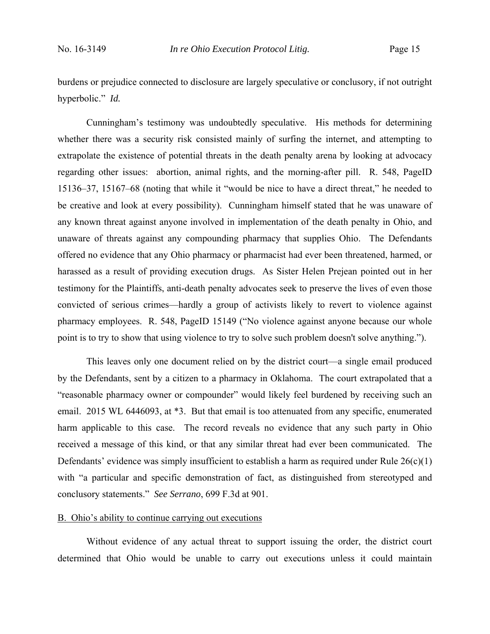burdens or prejudice connected to disclosure are largely speculative or conclusory, if not outright hyperbolic." *Id.*

Cunningham's testimony was undoubtedly speculative. His methods for determining whether there was a security risk consisted mainly of surfing the internet, and attempting to extrapolate the existence of potential threats in the death penalty arena by looking at advocacy regarding other issues: abortion, animal rights, and the morning-after pill. R. 548, PageID 15136–37, 15167–68 (noting that while it "would be nice to have a direct threat," he needed to be creative and look at every possibility). Cunningham himself stated that he was unaware of any known threat against anyone involved in implementation of the death penalty in Ohio, and unaware of threats against any compounding pharmacy that supplies Ohio. The Defendants offered no evidence that any Ohio pharmacy or pharmacist had ever been threatened, harmed, or harassed as a result of providing execution drugs. As Sister Helen Prejean pointed out in her testimony for the Plaintiffs, anti-death penalty advocates seek to preserve the lives of even those convicted of serious crimes—hardly a group of activists likely to revert to violence against pharmacy employees. R. 548, PageID 15149 ("No violence against anyone because our whole point is to try to show that using violence to try to solve such problem doesn't solve anything.").

This leaves only one document relied on by the district court—a single email produced by the Defendants, sent by a citizen to a pharmacy in Oklahoma. The court extrapolated that a "reasonable pharmacy owner or compounder" would likely feel burdened by receiving such an email. 2015 WL 6446093, at \*3. But that email is too attenuated from any specific, enumerated harm applicable to this case. The record reveals no evidence that any such party in Ohio received a message of this kind, or that any similar threat had ever been communicated. The Defendants' evidence was simply insufficient to establish a harm as required under Rule  $26(c)(1)$ with "a particular and specific demonstration of fact, as distinguished from stereotyped and conclusory statements." *See Serrano*, 699 F.3d at 901.

### B. Ohio's ability to continue carrying out executions

Without evidence of any actual threat to support issuing the order, the district court determined that Ohio would be unable to carry out executions unless it could maintain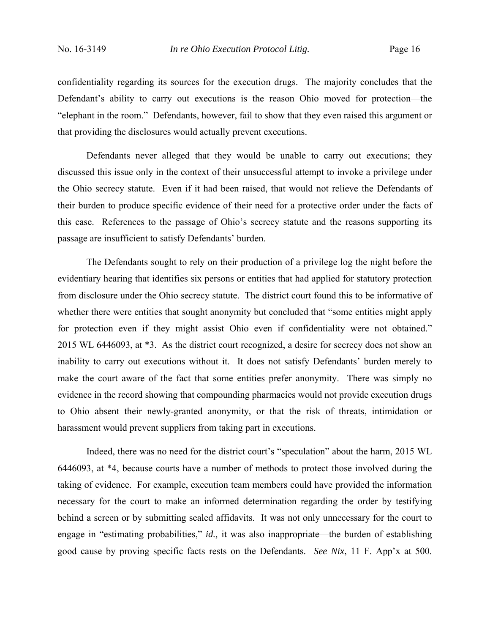confidentiality regarding its sources for the execution drugs. The majority concludes that the Defendant's ability to carry out executions is the reason Ohio moved for protection—the "elephant in the room." Defendants, however, fail to show that they even raised this argument or that providing the disclosures would actually prevent executions.

Defendants never alleged that they would be unable to carry out executions; they discussed this issue only in the context of their unsuccessful attempt to invoke a privilege under the Ohio secrecy statute. Even if it had been raised, that would not relieve the Defendants of their burden to produce specific evidence of their need for a protective order under the facts of this case. References to the passage of Ohio's secrecy statute and the reasons supporting its passage are insufficient to satisfy Defendants' burden.

The Defendants sought to rely on their production of a privilege log the night before the evidentiary hearing that identifies six persons or entities that had applied for statutory protection from disclosure under the Ohio secrecy statute. The district court found this to be informative of whether there were entities that sought anonymity but concluded that "some entities might apply for protection even if they might assist Ohio even if confidentiality were not obtained." 2015 WL 6446093, at \*3. As the district court recognized, a desire for secrecy does not show an inability to carry out executions without it. It does not satisfy Defendants' burden merely to make the court aware of the fact that some entities prefer anonymity. There was simply no evidence in the record showing that compounding pharmacies would not provide execution drugs to Ohio absent their newly-granted anonymity, or that the risk of threats, intimidation or harassment would prevent suppliers from taking part in executions.

Indeed, there was no need for the district court's "speculation" about the harm, 2015 WL 6446093, at \*4, because courts have a number of methods to protect those involved during the taking of evidence. For example, execution team members could have provided the information necessary for the court to make an informed determination regarding the order by testifying behind a screen or by submitting sealed affidavits. It was not only unnecessary for the court to engage in "estimating probabilities," *id.,* it was also inappropriate—the burden of establishing good cause by proving specific facts rests on the Defendants. *See Nix*, 11 F. App'x at 500.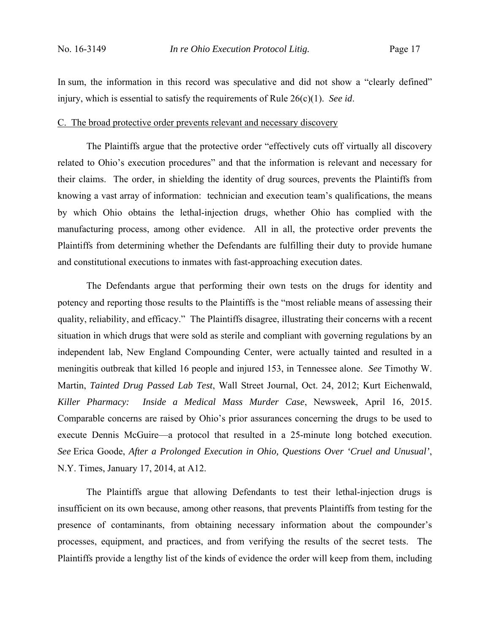In sum, the information in this record was speculative and did not show a "clearly defined" injury, which is essential to satisfy the requirements of Rule 26(c)(1). *See id*.

### C. The broad protective order prevents relevant and necessary discovery

The Plaintiffs argue that the protective order "effectively cuts off virtually all discovery related to Ohio's execution procedures" and that the information is relevant and necessary for their claims. The order, in shielding the identity of drug sources, prevents the Plaintiffs from knowing a vast array of information: technician and execution team's qualifications, the means by which Ohio obtains the lethal-injection drugs, whether Ohio has complied with the manufacturing process, among other evidence. All in all, the protective order prevents the Plaintiffs from determining whether the Defendants are fulfilling their duty to provide humane and constitutional executions to inmates with fast-approaching execution dates.

The Defendants argue that performing their own tests on the drugs for identity and potency and reporting those results to the Plaintiffs is the "most reliable means of assessing their quality, reliability, and efficacy." The Plaintiffs disagree, illustrating their concerns with a recent situation in which drugs that were sold as sterile and compliant with governing regulations by an independent lab, New England Compounding Center, were actually tainted and resulted in a meningitis outbreak that killed 16 people and injured 153, in Tennessee alone. *See* Timothy W. Martin, *Tainted Drug Passed Lab Test*, Wall Street Journal, Oct. 24, 2012; Kurt Eichenwald, *Killer Pharmacy: Inside a Medical Mass Murder Case*, Newsweek, April 16, 2015. Comparable concerns are raised by Ohio's prior assurances concerning the drugs to be used to execute Dennis McGuire—a protocol that resulted in a 25-minute long botched execution. *See* Erica Goode, *After a Prolonged Execution in Ohio, Questions Over 'Cruel and Unusual'*, N.Y. Times, January 17, 2014, at A12.

The Plaintiffs argue that allowing Defendants to test their lethal-injection drugs is insufficient on its own because, among other reasons, that prevents Plaintiffs from testing for the presence of contaminants, from obtaining necessary information about the compounder's processes, equipment, and practices, and from verifying the results of the secret tests. The Plaintiffs provide a lengthy list of the kinds of evidence the order will keep from them, including